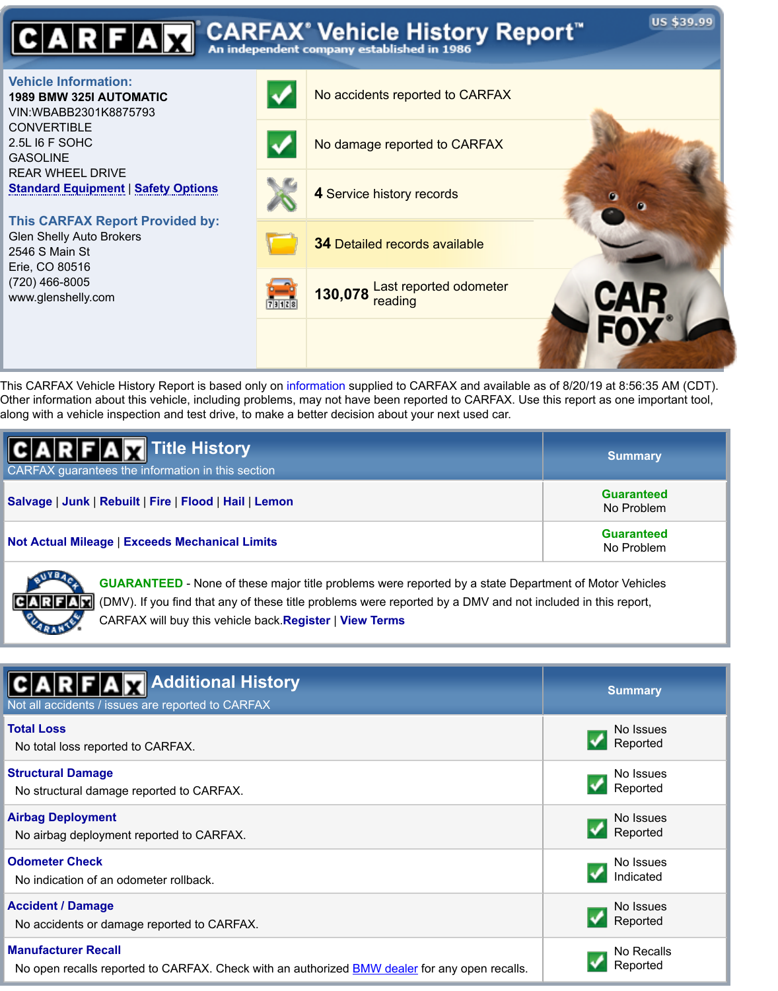2.5L I6 F SOHC GASOLINE REAR WHEEL DRIVE **Standard Equipment** | **Safety Options**

**This CARFAX Report Provided by:** Glen Shelly Auto Brokers 2546 S Main St Erie, CO 80516 (720) 466-8005

www.glenshelly.com



This CARFAX Vehicle History Report is based only on information supplied to CARFAX and available as of 8/20/19 at 8:56:35 Other information about this vehicle, including problems, may not have been reported to CARFAX. Use this report as one import along with a vehicle inspection and test drive, to make a better decision about your next used car.

| <b>CARFAM</b> Title History<br>CARFAX guarantees the information in this section | <b>Summary</b>                 |
|----------------------------------------------------------------------------------|--------------------------------|
| Salvage   Junk   Rebuilt   Fire   Flood   Hail   Lemon                           | <b>Guarantee</b><br>No Problen |
| <b>Not Actual Mileage   Exceeds Mechanical Limits</b>                            | <b>Guarantee</b><br>No Problen |

**GUARANTEED** - None of these major title problems were reported by a state Department of Motor Vehicles (DMV). If you find that any of these title problems were reported by a DMV and not included in this report, CARFAX will buy this vehicle back.**Register** | **View Terms**

| <b>CARFAM</b> Additional History<br>Not all accidents / issues are reported to CARFAX                | <b>Summary</b> |
|------------------------------------------------------------------------------------------------------|----------------|
| <b>Total Loss</b>                                                                                    | No Issue       |
| No total loss reported to CARFAX.                                                                    | Reported       |
| <b>Structural Damage</b>                                                                             | No Issue       |
| No structural damage reported to CARFAX.                                                             | Reported       |
| <b>Airbag Deployment</b>                                                                             | No Issue       |
| No airbag deployment reported to CARFAX.                                                             | Reported       |
| <b>Odometer Check</b>                                                                                | No Issue       |
| No indication of an odometer rollback.                                                               | Indicated      |
| <b>Accident / Damage</b>                                                                             | No Issue       |
| No accidents or damage reported to CARFAX.                                                           | Reported       |
| <b>Manufacturer Recall</b>                                                                           | No Recal       |
| No open recalls reported to CARFAX. Check with an authorized <b>BMW</b> dealer for any open recalls. | Reported       |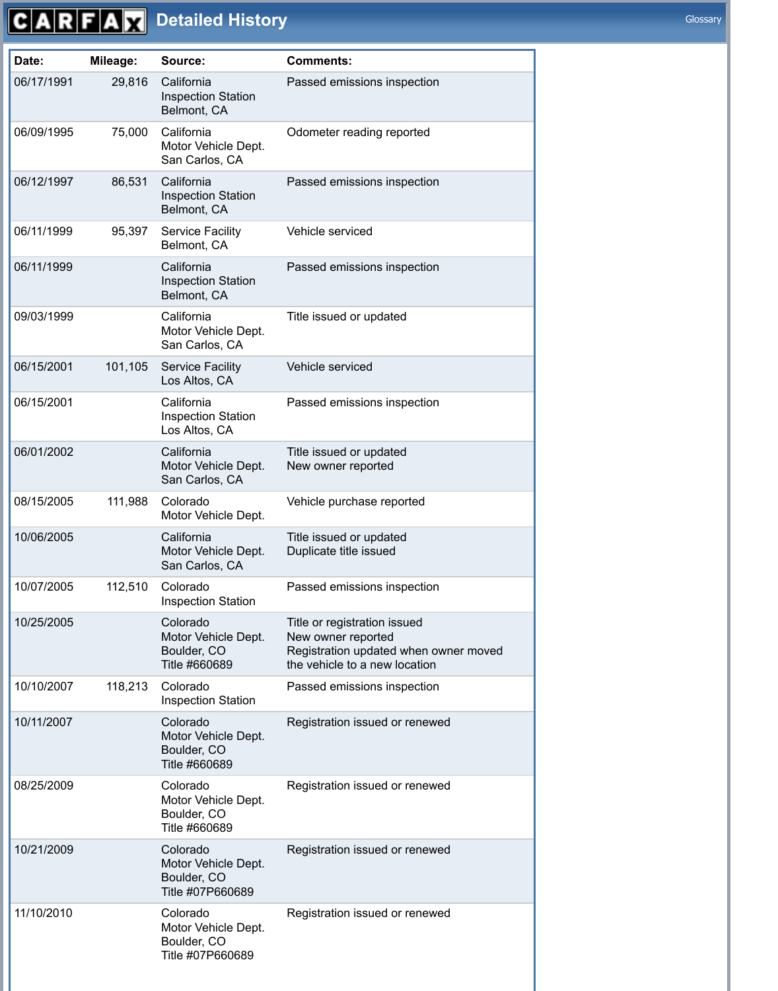|            |         | Motor Vehicle Dept.<br>San Carlos, CA                              |                                                                                                                              |
|------------|---------|--------------------------------------------------------------------|------------------------------------------------------------------------------------------------------------------------------|
| 06/12/1997 | 86,531  | California<br><b>Inspection Station</b><br>Belmont, CA             | Passed emissions inspection                                                                                                  |
| 06/11/1999 | 95,397  | <b>Service Facility</b><br>Belmont, CA                             | Vehicle serviced                                                                                                             |
| 06/11/1999 |         | California<br><b>Inspection Station</b><br>Belmont, CA             | Passed emissions inspection                                                                                                  |
| 09/03/1999 |         | California<br>Motor Vehicle Dept.<br>San Carlos, CA                | Title issued or updated                                                                                                      |
| 06/15/2001 | 101,105 | <b>Service Facility</b><br>Los Altos, CA                           | Vehicle serviced                                                                                                             |
| 06/15/2001 |         | California<br><b>Inspection Station</b><br>Los Altos, CA           | Passed emissions inspection                                                                                                  |
| 06/01/2002 |         | California<br>Motor Vehicle Dept.<br>San Carlos, CA                | Title issued or updated<br>New owner reported                                                                                |
| 08/15/2005 | 111,988 | Colorado<br>Motor Vehicle Dept.                                    | Vehicle purchase reported                                                                                                    |
| 10/06/2005 |         | California<br>Motor Vehicle Dept.<br>San Carlos, CA                | Title issued or updated<br>Duplicate title issued                                                                            |
| 10/07/2005 | 112,510 | Colorado<br><b>Inspection Station</b>                              | Passed emissions inspection                                                                                                  |
| 10/25/2005 |         | Colorado<br>Motor Vehicle Dept.<br>Boulder, CO<br>Title #660689    | Title or registration issued<br>New owner reported<br>Registration updated when owner moved<br>the vehicle to a new location |
| 10/10/2007 | 118,213 | Colorado<br><b>Inspection Station</b>                              | Passed emissions inspection                                                                                                  |
| 10/11/2007 |         | Colorado<br>Motor Vehicle Dept.<br>Boulder, CO<br>Title #660689    | Registration issued or renewed                                                                                               |
| 08/25/2009 |         | Colorado<br>Motor Vehicle Dept.<br>Boulder, CO<br>Title #660689    | Registration issued or renewed                                                                                               |
| 10/21/2009 |         | Colorado<br>Motor Vehicle Dept.<br>Boulder, CO<br>Title #07P660689 | Registration issued or renewed                                                                                               |
| 11/10/2010 |         | Colorado<br>Motor Vehicle Dept.<br>Boulder, CO<br>Title #07P660689 | Registration issued or renewed                                                                                               |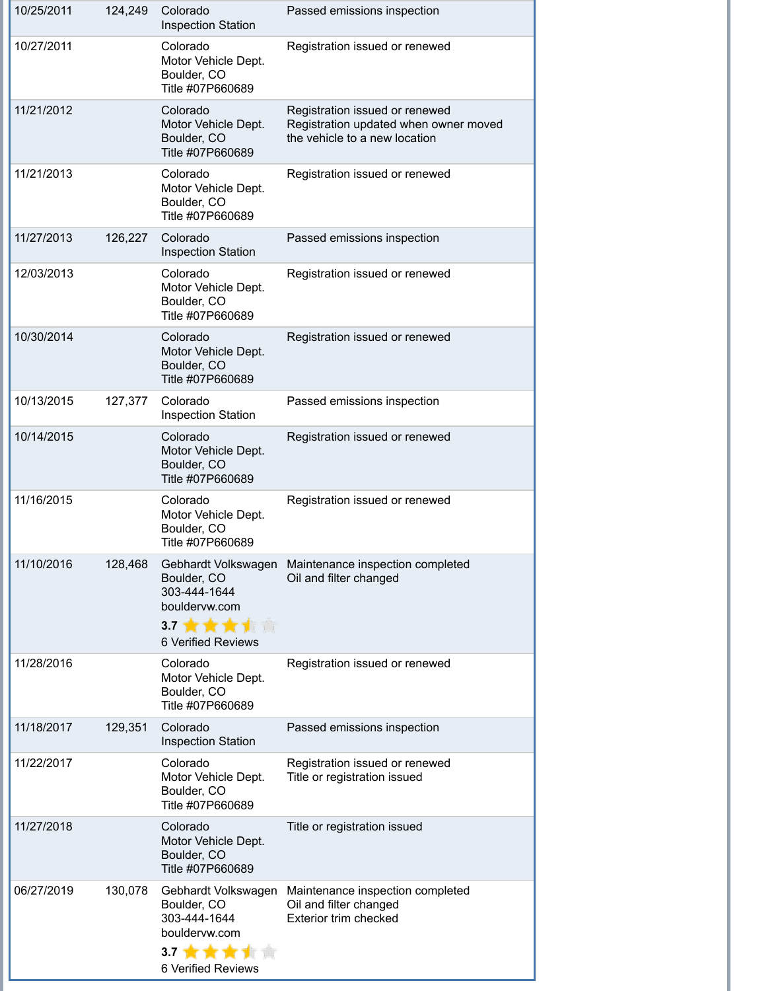| 10/25/2011 | 124,249 | Colorado<br><b>Inspection Station</b>                                                                                | Passed emissions inspection                                                                              |
|------------|---------|----------------------------------------------------------------------------------------------------------------------|----------------------------------------------------------------------------------------------------------|
| 10/27/2011 |         | Colorado<br>Motor Vehicle Dept.<br>Boulder, CO<br>Title #07P660689                                                   | Registration issued or renewed                                                                           |
| 11/21/2012 |         | Colorado<br>Motor Vehicle Dept.<br>Boulder, CO<br>Title #07P660689                                                   | Registration issued or renewed<br>Registration updated when owner moved<br>the vehicle to a new location |
| 11/21/2013 |         | Colorado<br>Motor Vehicle Dept.<br>Boulder, CO<br>Title #07P660689                                                   | Registration issued or renewed                                                                           |
| 11/27/2013 | 126,227 | Colorado<br><b>Inspection Station</b>                                                                                | Passed emissions inspection                                                                              |
| 12/03/2013 |         | Colorado<br>Motor Vehicle Dept.<br>Boulder, CO<br>Title #07P660689                                                   | Registration issued or renewed                                                                           |
| 10/30/2014 |         | Colorado<br>Motor Vehicle Dept.<br>Boulder, CO<br>Title #07P660689                                                   | Registration issued or renewed                                                                           |
| 10/13/2015 | 127,377 | Colorado<br><b>Inspection Station</b>                                                                                | Passed emissions inspection                                                                              |
| 10/14/2015 |         | Colorado<br>Motor Vehicle Dept.<br>Boulder, CO<br>Title #07P660689                                                   | Registration issued or renewed                                                                           |
| 11/16/2015 |         | Colorado<br>Motor Vehicle Dept.<br>Boulder, CO<br>Title #07P660689                                                   | Registration issued or renewed                                                                           |
| 11/10/2016 | 128,468 | Gebhardt Volkswagen<br>Boulder, CO<br>303-444-1644<br>bouldervw.com<br>3.7 黄黄黄黄蒿<br><b>6 Verified Reviews</b>        | Maintenance inspection completed<br>Oil and filter changed                                               |
| 11/28/2016 |         | Colorado<br>Motor Vehicle Dept.<br>Boulder, CO<br>Title #07P660689                                                   | Registration issued or renewed                                                                           |
| 11/18/2017 | 129,351 | Colorado<br><b>Inspection Station</b>                                                                                | Passed emissions inspection                                                                              |
| 11/22/2017 |         | Colorado<br>Motor Vehicle Dept.<br>Boulder, CO<br>Title #07P660689                                                   | Registration issued or renewed<br>Title or registration issued                                           |
| 11/27/2018 |         | Colorado<br>Motor Vehicle Dept.<br>Boulder, CO<br>Title #07P660689                                                   | Title or registration issued                                                                             |
| 06/27/2019 | 130,078 | Gebhardt Volkswagen<br>Boulder, CO<br>303-444-1644<br>bouldervw.com<br>3.7 <sup>1</sup><br><b>6 Verified Reviews</b> | Maintenance inspection completed<br>Oil and filter changed<br><b>Exterior trim checked</b>               |